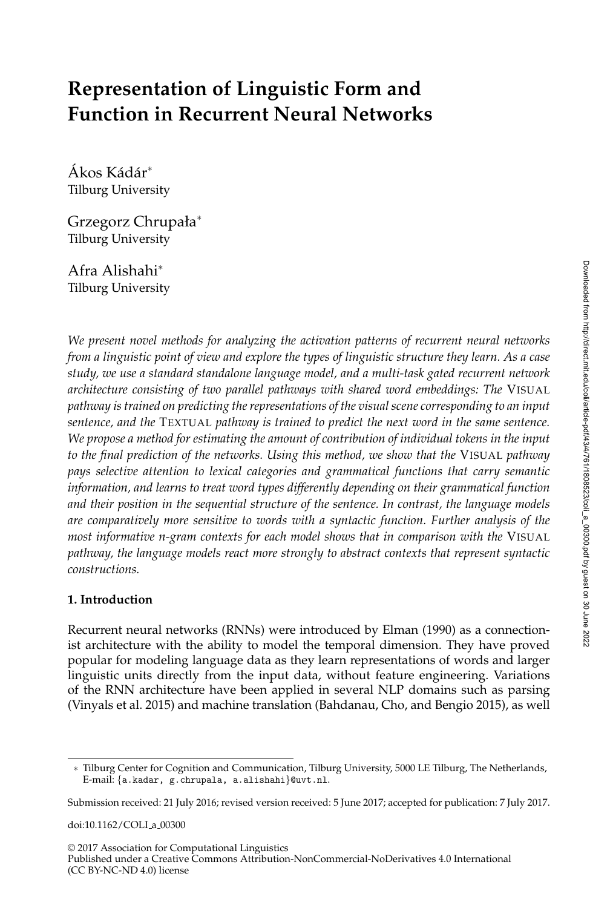# **Representation of Linguistic Form and Function in Recurrent Neural Networks**

Ákos Kádár\* Tilburg University

Grzegorz Chrupała<sup>∗</sup> Tilburg University

Afra Alishahi<sup>∗</sup> Tilburg University

*We present novel methods for analyzing the activation patterns of recurrent neural networks from a linguistic point of view and explore the types of linguistic structure they learn. As a case study, we use a standard standalone language model, and a multi-task gated recurrent network architecture consisting of two parallel pathways with shared word embeddings: The* VISUAL *pathway is trained on predicting the representations of the visual scene corresponding to an input sentence, and the* TEXTUAL *pathway is trained to predict the next word in the same sentence. We propose a method for estimating the amount of contribution of individual tokens in the input to the final prediction of the networks. Using this method, we show that the* VISUAL *pathway pays selective attention to lexical categories and grammatical functions that carry semantic information, and learns to treat word types differently depending on their grammatical function and their position in the sequential structure of the sentence. In contrast, the language models are comparatively more sensitive to words with a syntactic function. Further analysis of the most informative n-gram contexts for each model shows that in comparison with the* VISUAL *pathway, the language models react more strongly to abstract contexts that represent syntactic constructions.*

## **1. Introduction**

Recurrent neural networks (RNNs) were introduced by Elman (1990) as a connectionist architecture with the ability to model the temporal dimension. They have proved popular for modeling language data as they learn representations of words and larger linguistic units directly from the input data, without feature engineering. Variations of the RNN architecture have been applied in several NLP domains such as parsing (Vinyals et al. 2015) and machine translation (Bahdanau, Cho, and Bengio 2015), as well

doi:10.1162/COLI\_a\_00300

<sup>∗</sup> Tilburg Center for Cognition and Communication, Tilburg University, 5000 LE Tilburg, The Netherlands, E-mail: {a.kadar, g.chrupala, a.alishahi}@uvt.nl.

Submission received: 21 July 2016; revised version received: 5 June 2017; accepted for publication: 7 July 2017.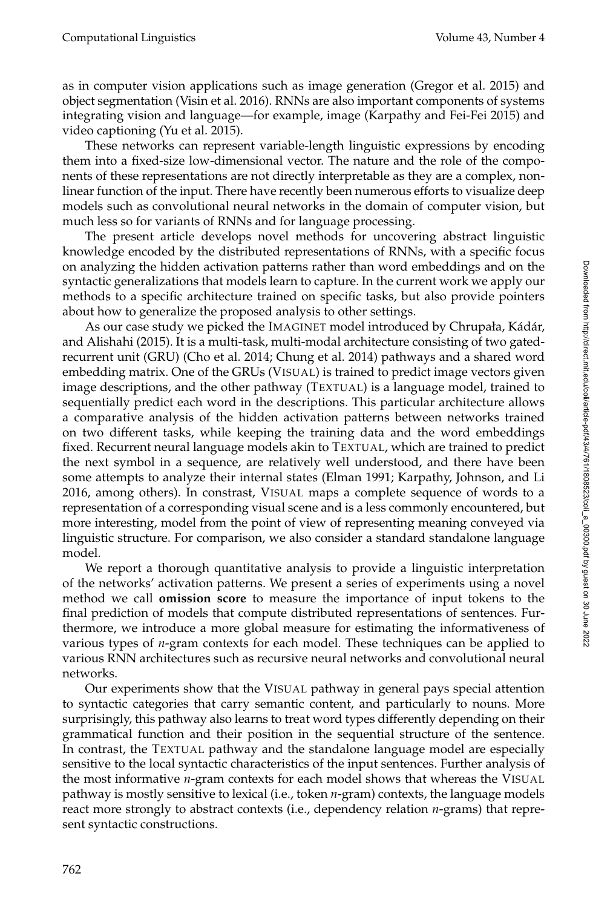as in computer vision applications such as image generation (Gregor et al. 2015) and object segmentation (Visin et al. 2016). RNNs are also important components of systems integrating vision and language—for example, image (Karpathy and Fei-Fei 2015) and video captioning (Yu et al. 2015).

These networks can represent variable-length linguistic expressions by encoding them into a fixed-size low-dimensional vector. The nature and the role of the components of these representations are not directly interpretable as they are a complex, nonlinear function of the input. There have recently been numerous efforts to visualize deep models such as convolutional neural networks in the domain of computer vision, but much less so for variants of RNNs and for language processing.

The present article develops novel methods for uncovering abstract linguistic knowledge encoded by the distributed representations of RNNs, with a specific focus on analyzing the hidden activation patterns rather than word embeddings and on the syntactic generalizations that models learn to capture. In the current work we apply our methods to a specific architecture trained on specific tasks, but also provide pointers about how to generalize the proposed analysis to other settings.

As our case study we picked the IMAGINET model introduced by Chrupała, Kádár, and Alishahi (2015). It is a multi-task, multi-modal architecture consisting of two gatedrecurrent unit (GRU) (Cho et al. 2014; Chung et al. 2014) pathways and a shared word embedding matrix. One of the GRUs (VISUAL) is trained to predict image vectors given image descriptions, and the other pathway (TEXTUAL) is a language model, trained to sequentially predict each word in the descriptions. This particular architecture allows a comparative analysis of the hidden activation patterns between networks trained on two different tasks, while keeping the training data and the word embeddings fixed. Recurrent neural language models akin to TEXTUAL, which are trained to predict the next symbol in a sequence, are relatively well understood, and there have been some attempts to analyze their internal states (Elman 1991; Karpathy, Johnson, and Li 2016, among others). In constrast, VISUAL maps a complete sequence of words to a representation of a corresponding visual scene and is a less commonly encountered, but more interesting, model from the point of view of representing meaning conveyed via linguistic structure. For comparison, we also consider a standard standalone language model.

We report a thorough quantitative analysis to provide a linguistic interpretation of the networks' activation patterns. We present a series of experiments using a novel method we call **omission score** to measure the importance of input tokens to the final prediction of models that compute distributed representations of sentences. Furthermore, we introduce a more global measure for estimating the informativeness of various types of *n*-gram contexts for each model. These techniques can be applied to various RNN architectures such as recursive neural networks and convolutional neural networks.

Our experiments show that the VISUAL pathway in general pays special attention to syntactic categories that carry semantic content, and particularly to nouns. More surprisingly, this pathway also learns to treat word types differently depending on their grammatical function and their position in the sequential structure of the sentence. In contrast, the TEXTUAL pathway and the standalone language model are especially sensitive to the local syntactic characteristics of the input sentences. Further analysis of the most informative *n*-gram contexts for each model shows that whereas the VISUAL pathway is mostly sensitive to lexical (i.e., token *n*-gram) contexts, the language models react more strongly to abstract contexts (i.e., dependency relation *n*-grams) that represent syntactic constructions.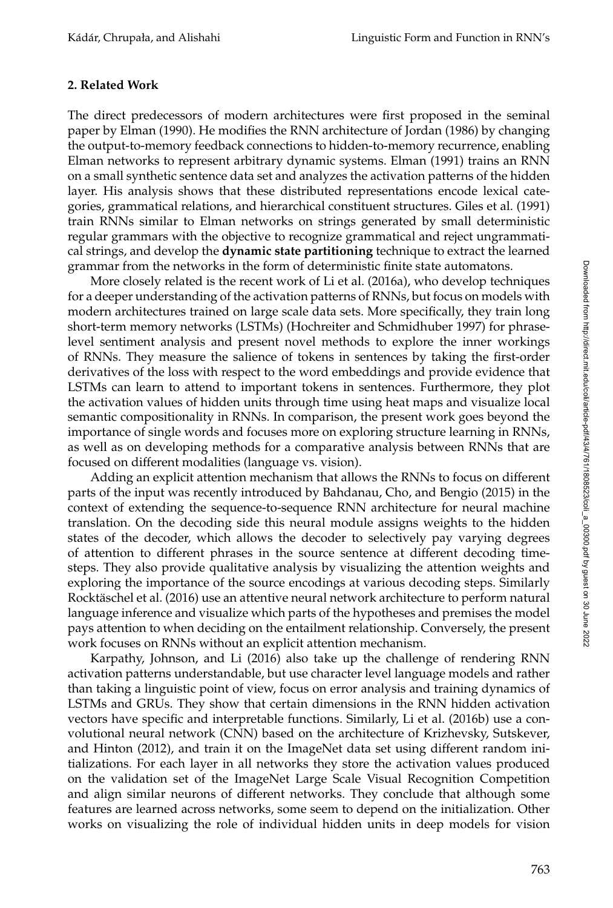## **2. Related Work**

The direct predecessors of modern architectures were first proposed in the seminal paper by Elman (1990). He modifies the RNN architecture of Jordan (1986) by changing the output-to-memory feedback connections to hidden-to-memory recurrence, enabling Elman networks to represent arbitrary dynamic systems. Elman (1991) trains an RNN on a small synthetic sentence data set and analyzes the activation patterns of the hidden layer. His analysis shows that these distributed representations encode lexical categories, grammatical relations, and hierarchical constituent structures. Giles et al. (1991) train RNNs similar to Elman networks on strings generated by small deterministic regular grammars with the objective to recognize grammatical and reject ungrammatical strings, and develop the **dynamic state partitioning** technique to extract the learned grammar from the networks in the form of deterministic finite state automatons.

More closely related is the recent work of Li et al. (2016a), who develop techniques for a deeper understanding of the activation patterns of RNNs, but focus on models with modern architectures trained on large scale data sets. More specifically, they train long short-term memory networks (LSTMs) (Hochreiter and Schmidhuber 1997) for phraselevel sentiment analysis and present novel methods to explore the inner workings of RNNs. They measure the salience of tokens in sentences by taking the first-order derivatives of the loss with respect to the word embeddings and provide evidence that LSTMs can learn to attend to important tokens in sentences. Furthermore, they plot the activation values of hidden units through time using heat maps and visualize local semantic compositionality in RNNs. In comparison, the present work goes beyond the importance of single words and focuses more on exploring structure learning in RNNs, as well as on developing methods for a comparative analysis between RNNs that are focused on different modalities (language vs. vision).

Adding an explicit attention mechanism that allows the RNNs to focus on different parts of the input was recently introduced by Bahdanau, Cho, and Bengio (2015) in the context of extending the sequence-to-sequence RNN architecture for neural machine translation. On the decoding side this neural module assigns weights to the hidden states of the decoder, which allows the decoder to selectively pay varying degrees of attention to different phrases in the source sentence at different decoding timesteps. They also provide qualitative analysis by visualizing the attention weights and exploring the importance of the source encodings at various decoding steps. Similarly Rocktäschel et al. (2016) use an attentive neural network architecture to perform natural language inference and visualize which parts of the hypotheses and premises the model pays attention to when deciding on the entailment relationship. Conversely, the present work focuses on RNNs without an explicit attention mechanism.

Karpathy, Johnson, and Li (2016) also take up the challenge of rendering RNN activation patterns understandable, but use character level language models and rather than taking a linguistic point of view, focus on error analysis and training dynamics of LSTMs and GRUs. They show that certain dimensions in the RNN hidden activation vectors have specific and interpretable functions. Similarly, Li et al. (2016b) use a convolutional neural network (CNN) based on the architecture of Krizhevsky, Sutskever, and Hinton (2012), and train it on the ImageNet data set using different random initializations. For each layer in all networks they store the activation values produced on the validation set of the ImageNet Large Scale Visual Recognition Competition and align similar neurons of different networks. They conclude that although some features are learned across networks, some seem to depend on the initialization. Other works on visualizing the role of individual hidden units in deep models for vision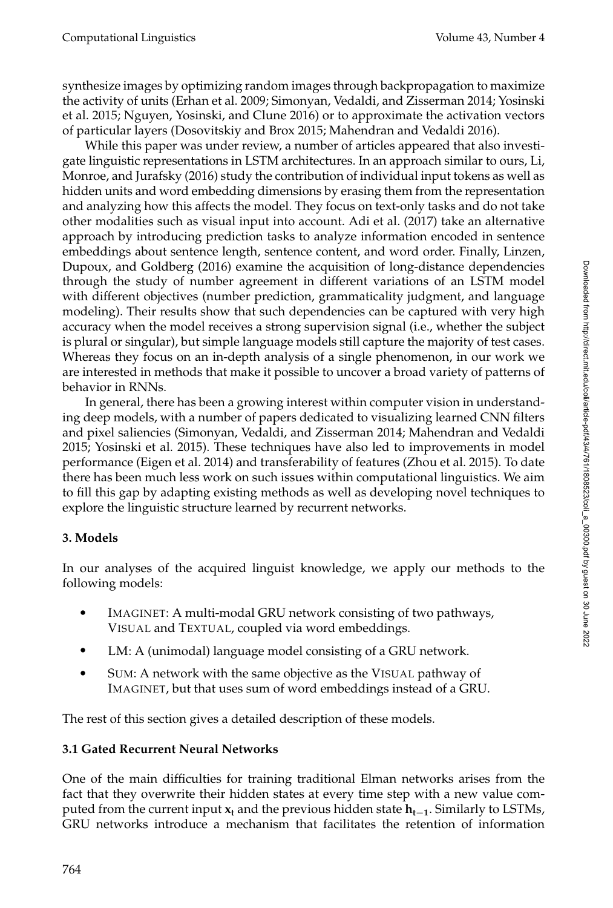synthesize images by optimizing random images through backpropagation to maximize the activity of units (Erhan et al. 2009; Simonyan, Vedaldi, and Zisserman 2014; Yosinski et al. 2015; Nguyen, Yosinski, and Clune 2016) or to approximate the activation vectors of particular layers (Dosovitskiy and Brox 2015; Mahendran and Vedaldi 2016).

While this paper was under review, a number of articles appeared that also investigate linguistic representations in LSTM architectures. In an approach similar to ours, Li, Monroe, and Jurafsky (2016) study the contribution of individual input tokens as well as hidden units and word embedding dimensions by erasing them from the representation and analyzing how this affects the model. They focus on text-only tasks and do not take other modalities such as visual input into account. Adi et al. (2017) take an alternative approach by introducing prediction tasks to analyze information encoded in sentence embeddings about sentence length, sentence content, and word order. Finally, Linzen, Dupoux, and Goldberg (2016) examine the acquisition of long-distance dependencies through the study of number agreement in different variations of an LSTM model with different objectives (number prediction, grammaticality judgment, and language modeling). Their results show that such dependencies can be captured with very high accuracy when the model receives a strong supervision signal (i.e., whether the subject is plural or singular), but simple language models still capture the majority of test cases. Whereas they focus on an in-depth analysis of a single phenomenon, in our work we are interested in methods that make it possible to uncover a broad variety of patterns of behavior in RNNs.

In general, there has been a growing interest within computer vision in understanding deep models, with a number of papers dedicated to visualizing learned CNN filters and pixel saliencies (Simonyan, Vedaldi, and Zisserman 2014; Mahendran and Vedaldi 2015; Yosinski et al. 2015). These techniques have also led to improvements in model performance (Eigen et al. 2014) and transferability of features (Zhou et al. 2015). To date there has been much less work on such issues within computational linguistics. We aim to fill this gap by adapting existing methods as well as developing novel techniques to explore the linguistic structure learned by recurrent networks.

# **3. Models**

In our analyses of the acquired linguist knowledge, we apply our methods to the following models:

- $\bullet$ IMAGINET: A multi-modal GRU network consisting of two pathways, VISUAL and TEXTUAL, coupled via word embeddings.
- LM: A (unimodal) language model consisting of a GRU network.
- SUM: A network with the same objective as the VISUAL pathway of IMAGINET, but that uses sum of word embeddings instead of a GRU.

The rest of this section gives a detailed description of these models.

# **3.1 Gated Recurrent Neural Networks**

One of the main difficulties for training traditional Elman networks arises from the fact that they overwrite their hidden states at every time step with a new value computed from the current input **x<sup>t</sup>** and the previous hidden state **ht**−**<sup>1</sup>** . Similarly to LSTMs, GRU networks introduce a mechanism that facilitates the retention of information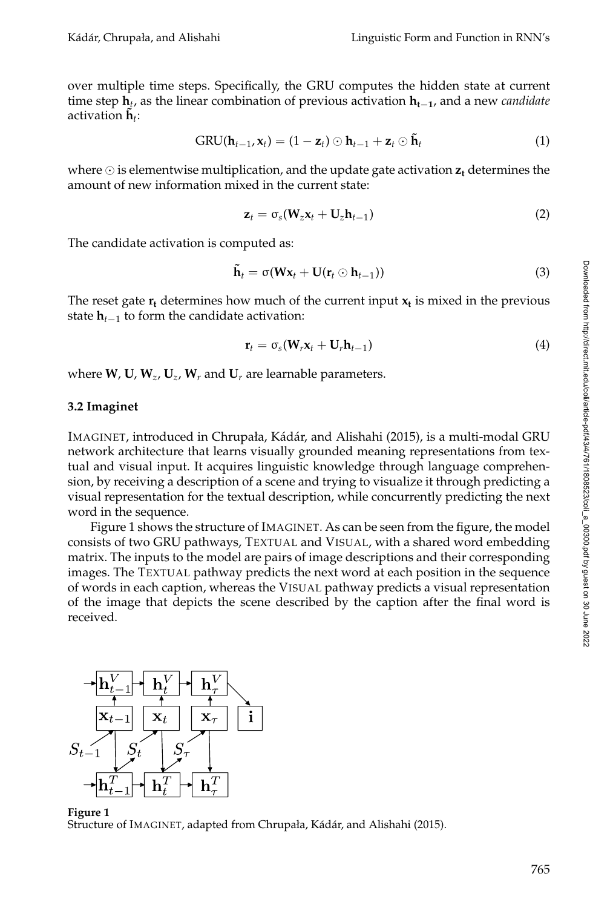over multiple time steps. Specifically, the GRU computes the hidden state at current time step **h***<sup>t</sup>* , as the linear combination of previous activation **ht**−**<sup>1</sup>** , and a new *candidate* activation  $\tilde{\mathbf{h}}_t$ :

$$
GRU(\mathbf{h}_{t-1}, \mathbf{x}_t) = (1 - \mathbf{z}_t) \odot \mathbf{h}_{t-1} + \mathbf{z}_t \odot \mathbf{\tilde{h}}_t \tag{1}
$$

where  $\odot$  is elementwise multiplication, and the update gate activation  $z_t$  determines the amount of new information mixed in the current state:

$$
\mathbf{z}_t = \sigma_s(\mathbf{W}_z \mathbf{x}_t + \mathbf{U}_z \mathbf{h}_{t-1})
$$
 (2)

The candidate activation is computed as:

$$
\tilde{\mathbf{h}}_t = \sigma(\mathbf{W}\mathbf{x}_t + \mathbf{U}(\mathbf{r}_t \odot \mathbf{h}_{t-1}))
$$
\n(3)

The reset gate **r<sup>t</sup>** determines how much of the current input **x<sup>t</sup>** is mixed in the previous state **h***t*−<sup>1</sup> to form the candidate activation:

$$
\mathbf{r}_t = \sigma_s(\mathbf{W}_r \mathbf{x}_t + \mathbf{U}_r \mathbf{h}_{t-1})
$$
\n(4)

where  $W$ ,  $W$ ,  $W_z$ ,  $W_z$ ,  $W_r$  and  $W_r$  are learnable parameters.

#### **3.2 Imaginet**

IMAGINET, introduced in Chrupała, Kádár, and Alishahi (2015), is a multi-modal GRU network architecture that learns visually grounded meaning representations from textual and visual input. It acquires linguistic knowledge through language comprehension, by receiving a description of a scene and trying to visualize it through predicting a visual representation for the textual description, while concurrently predicting the next word in the sequence.

Figure 1 shows the structure of IMAGINET. As can be seen from the figure, the model consists of two GRU pathways, TEXTUAL and VISUAL, with a shared word embedding matrix. The inputs to the model are pairs of image descriptions and their corresponding images. The TEXTUAL pathway predicts the next word at each position in the sequence of words in each caption, whereas the VISUAL pathway predicts a visual representation of the image that depicts the scene described by the caption after the final word is received.



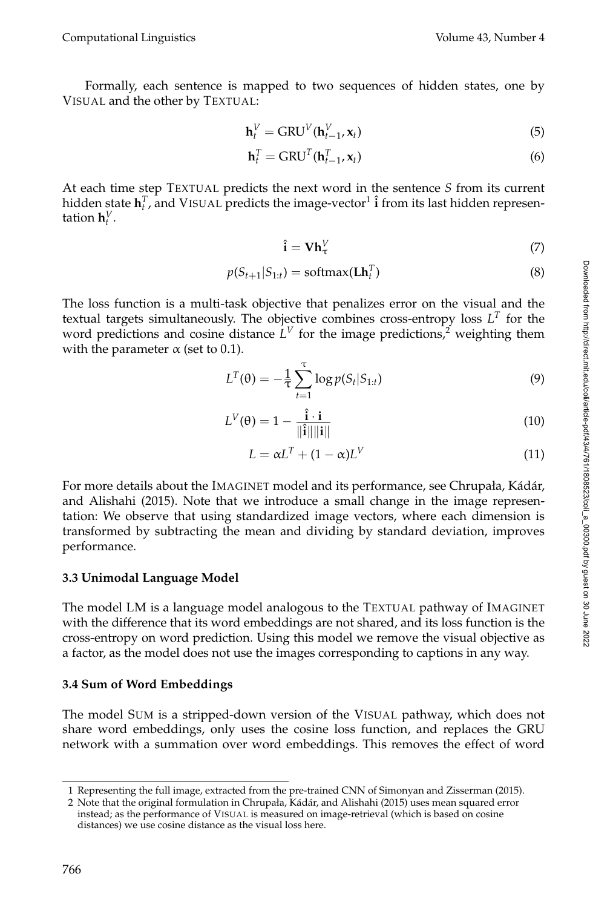Computational Linguistics Volume 43, Number 4

Formally, each sentence is mapped to two sequences of hidden states, one by VISUAL and the other by TEXTUAL:

$$
\mathbf{h}_t^V = \text{GRU}^V(\mathbf{h}_{t-1}^V, \mathbf{x}_t)
$$
\n<sup>(5)</sup>

$$
\mathbf{h}_t^T = \text{GRU}^T(\mathbf{h}_{t-1}^T, \mathbf{x}_t)
$$
\n(6)

At each time step TEXTUAL predicts the next word in the sentence *S* from its current hidden state  $\mathbf{h}_t^T$ , and VISUAL predicts the image-vector<sup>1</sup>  $\hat{\mathbf{i}}$  from its last hidden representation  $\mathbf{h}_t^V$ .

$$
\hat{\mathbf{i}} = \mathbf{V} \mathbf{h}_{\tau}^V \tag{7}
$$

$$
p(S_{t+1}|S_{1:t}) = \text{softmax}(\mathbf{L}\mathbf{h}_t^T) \tag{8}
$$

The loss function is a multi-task objective that penalizes error on the visual and the textual targets simultaneously. The objective combines cross-entropy loss *L T* for the word predictions and cosine distance  $L^V$  for the image predictions,<sup>2</sup> weighting them with the parameter  $\alpha$  (set to 0.1).

$$
L^{T}(\theta) = -\frac{1}{\tau} \sum_{t=1}^{\tau} \log p(S_t | S_{1:t})
$$
\n(9)

$$
L^V(\theta) = 1 - \frac{\hat{\mathbf{i}} \cdot \mathbf{i}}{\|\hat{\mathbf{i}}\| \|\mathbf{i}\|} \tag{10}
$$

$$
L = \alpha L^T + (1 - \alpha)L^V \tag{11}
$$

For more details about the IMAGINET model and its performance, see Chrupała, Kádár, and Alishahi (2015). Note that we introduce a small change in the image representation: We observe that using standardized image vectors, where each dimension is transformed by subtracting the mean and dividing by standard deviation, improves performance.

## **3.3 Unimodal Language Model**

The model LM is a language model analogous to the TEXTUAL pathway of IMAGINET with the difference that its word embeddings are not shared, and its loss function is the cross-entropy on word prediction. Using this model we remove the visual objective as a factor, as the model does not use the images corresponding to captions in any way.

## **3.4 Sum of Word Embeddings**

The model SUM is a stripped-down version of the VISUAL pathway, which does not share word embeddings, only uses the cosine loss function, and replaces the GRU network with a summation over word embeddings. This removes the effect of word Downloaded from http://direct.mit.edu/coli/article-pdf43/4/761/1808523/coli\_a\_00300.pdf by guest on 30 June 2022 Downloaded from http://direct.mit.edu/coli/article-pdf/43/4/761/1808523/coli\_a\_00300.pdf by guest on 30 June 2022

<sup>1</sup> Representing the full image, extracted from the pre-trained CNN of Simonyan and Zisserman (2015).

<sup>2</sup> Note that the original formulation in Chrupała, Kádár, and Alishahi (2015) uses mean squared error instead; as the performance of VISUAL is measured on image-retrieval (which is based on cosine distances) we use cosine distance as the visual loss here.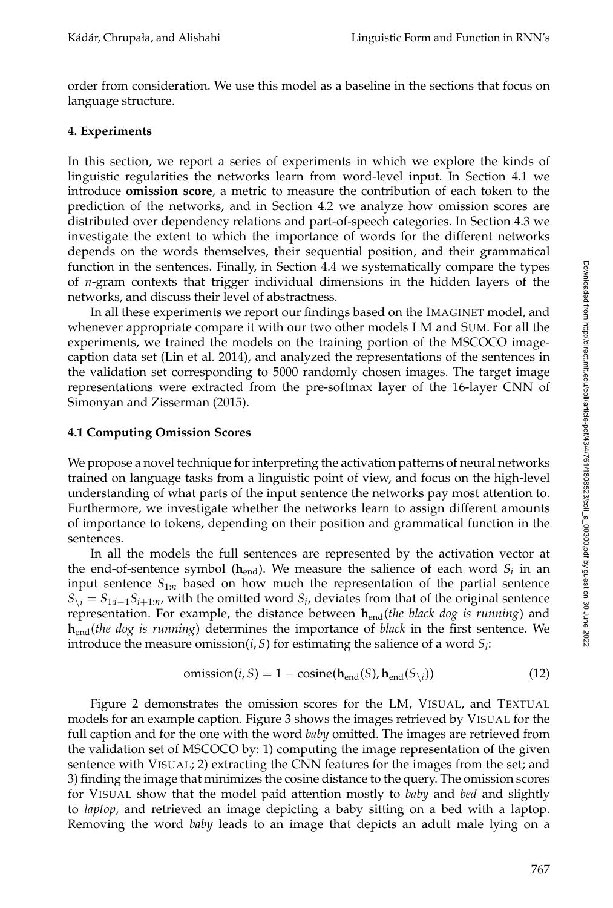order from consideration. We use this model as a baseline in the sections that focus on language structure.

## **4. Experiments**

In this section, we report a series of experiments in which we explore the kinds of linguistic regularities the networks learn from word-level input. In Section 4.1 we introduce **omission score**, a metric to measure the contribution of each token to the prediction of the networks, and in Section 4.2 we analyze how omission scores are distributed over dependency relations and part-of-speech categories. In Section 4.3 we investigate the extent to which the importance of words for the different networks depends on the words themselves, their sequential position, and their grammatical function in the sentences. Finally, in Section 4.4 we systematically compare the types of *n*-gram contexts that trigger individual dimensions in the hidden layers of the networks, and discuss their level of abstractness.

In all these experiments we report our findings based on the IMAGINET model, and whenever appropriate compare it with our two other models LM and SUM. For all the experiments, we trained the models on the training portion of the MSCOCO imagecaption data set (Lin et al. 2014), and analyzed the representations of the sentences in the validation set corresponding to 5000 randomly chosen images. The target image representations were extracted from the pre-softmax layer of the 16-layer CNN of Simonyan and Zisserman (2015).

## **4.1 Computing Omission Scores**

We propose a novel technique for interpreting the activation patterns of neural networks trained on language tasks from a linguistic point of view, and focus on the high-level understanding of what parts of the input sentence the networks pay most attention to. Furthermore, we investigate whether the networks learn to assign different amounts of importance to tokens, depending on their position and grammatical function in the sentences.

In all the models the full sentences are represented by the activation vector at the end-of-sentence symbol ( $\mathbf{h}_{\mathrm{end}}$ ). We measure the salience of each word  $S_i$  in an input sentence  $S_{1:n}$  based on how much the representation of the partial sentence  $S_{\setminus i} = S_{1:i-1}S_{i+1:n}$ , with the omitted word  $S_i$ , deviates from that of the original sentence representation. For example, the distance between  $h_{end}($ *the black dog is running*) and **h**end(*the dog is running*) determines the importance of *black* in the first sentence. We introduce the measure omission $(i, S)$  for estimating the salience of a word  $S_i$ :

$$
omission(i, S) = 1 - cosine(\mathbf{h}_{end}(S), \mathbf{h}_{end}(S_{\setminus i}))
$$
\n(12)

Figure 2 demonstrates the omission scores for the LM, VISUAL, and TEXTUAL models for an example caption. Figure 3 shows the images retrieved by VISUAL for the full caption and for the one with the word *baby* omitted. The images are retrieved from the validation set of MSCOCO by: 1) computing the image representation of the given sentence with VISUAL; 2) extracting the CNN features for the images from the set; and 3) finding the image that minimizes the cosine distance to the query. The omission scores for VISUAL show that the model paid attention mostly to *baby* and *bed* and slightly to *laptop*, and retrieved an image depicting a baby sitting on a bed with a laptop. Removing the word *baby* leads to an image that depicts an adult male lying on a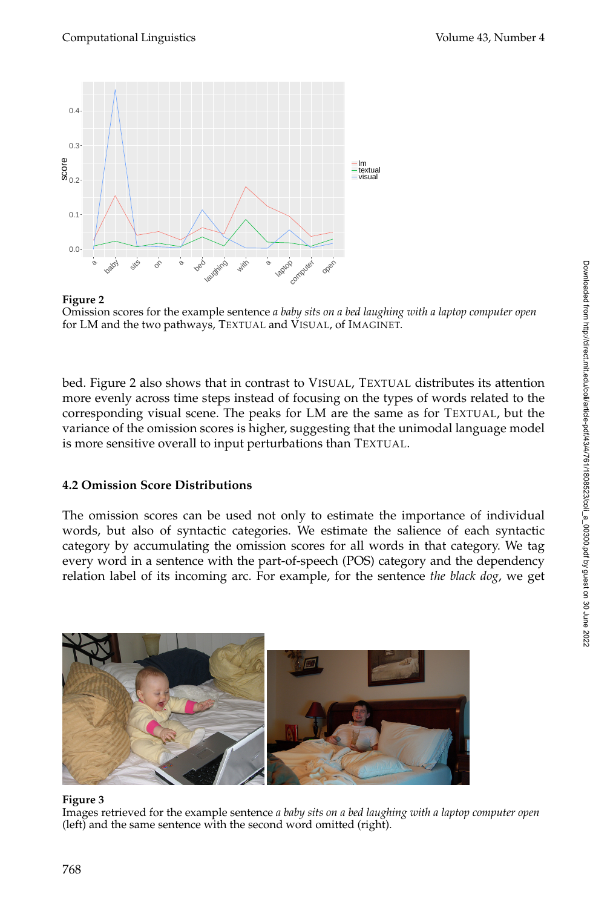



bed. Figure 2 also shows that in contrast to VISUAL, TEXTUAL distributes its attention more evenly across time steps instead of focusing on the types of words related to the corresponding visual scene. The peaks for LM are the same as for TEXTUAL, but the variance of the omission scores is higher, suggesting that the unimodal language model is more sensitive overall to input perturbations than TEXTUAL.

## **4.2 Omission Score Distributions**

The omission scores can be used not only to estimate the importance of individual words, but also of syntactic categories. We estimate the salience of each syntactic category by accumulating the omission scores for all words in that category. We tag every word in a sentence with the part-of-speech (POS) category and the dependency relation label of its incoming arc. For example, for the sentence *the black dog*, we get



#### **Figure 3**

Images retrieved for the example sentence *a baby sits on a bed laughing with a laptop computer open* (left) and the same sentence with the second word omitted (right).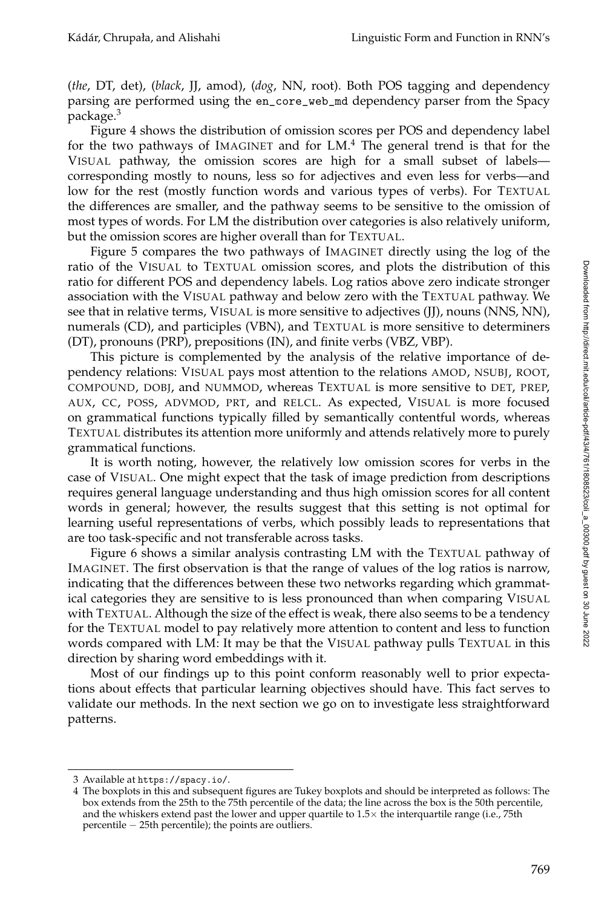(*the*, DT, det), (*black*, JJ, amod), (*dog*, NN, root). Both POS tagging and dependency parsing are performed using the en\_core\_web\_md dependency parser from the Spacy package.<sup>3</sup>

Figure 4 shows the distribution of omission scores per POS and dependency label for the two pathways of IMAGINET and for LM.<sup>4</sup> The general trend is that for the VISUAL pathway, the omission scores are high for a small subset of labels corresponding mostly to nouns, less so for adjectives and even less for verbs—and low for the rest (mostly function words and various types of verbs). For TEXTUAL the differences are smaller, and the pathway seems to be sensitive to the omission of most types of words. For LM the distribution over categories is also relatively uniform, but the omission scores are higher overall than for TEXTUAL.

Figure 5 compares the two pathways of IMAGINET directly using the log of the ratio of the VISUAL to TEXTUAL omission scores, and plots the distribution of this ratio for different POS and dependency labels. Log ratios above zero indicate stronger association with the VISUAL pathway and below zero with the TEXTUAL pathway. We see that in relative terms, VISUAL is more sensitive to adjectives (JJ), nouns (NNS, NN), numerals (CD), and participles (VBN), and TEXTUAL is more sensitive to determiners (DT), pronouns (PRP), prepositions (IN), and finite verbs (VBZ, VBP).

This picture is complemented by the analysis of the relative importance of dependency relations: VISUAL pays most attention to the relations AMOD, NSUBJ, ROOT, COMPOUND, DOBJ, and NUMMOD, whereas TEXTUAL is more sensitive to DET, PREP, AUX, CC, POSS, ADVMOD, PRT, and RELCL. As expected, VISUAL is more focused on grammatical functions typically filled by semantically contentful words, whereas TEXTUAL distributes its attention more uniformly and attends relatively more to purely grammatical functions.

It is worth noting, however, the relatively low omission scores for verbs in the case of VISUAL. One might expect that the task of image prediction from descriptions requires general language understanding and thus high omission scores for all content words in general; however, the results suggest that this setting is not optimal for learning useful representations of verbs, which possibly leads to representations that are too task-specific and not transferable across tasks.

Figure 6 shows a similar analysis contrasting LM with the TEXTUAL pathway of IMAGINET. The first observation is that the range of values of the log ratios is narrow, indicating that the differences between these two networks regarding which grammatical categories they are sensitive to is less pronounced than when comparing VISUAL with TEXTUAL. Although the size of the effect is weak, there also seems to be a tendency for the TEXTUAL model to pay relatively more attention to content and less to function words compared with LM: It may be that the VISUAL pathway pulls TEXTUAL in this direction by sharing word embeddings with it.

Most of our findings up to this point conform reasonably well to prior expectations about effects that particular learning objectives should have. This fact serves to validate our methods. In the next section we go on to investigate less straightforward patterns.

<sup>3</sup> Available at https://spacy.io/.

<sup>4</sup> The boxplots in this and subsequent figures are Tukey boxplots and should be interpreted as follows: The box extends from the 25th to the 75th percentile of the data; the line across the box is the 50th percentile, and the whiskers extend past the lower and upper quartile to  $1.5\times$  the interquartile range (i.e., 75th percentile − 25th percentile); the points are outliers.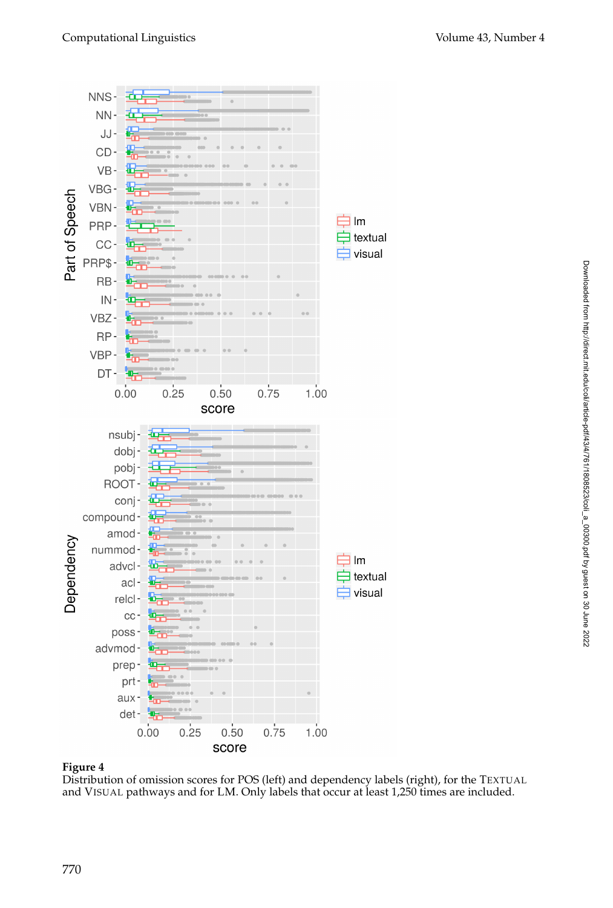

Distribution of omission scores for POS (left) and dependency labels (right), for the TEXTUAL and VISUAL pathways and for LM. Only labels that occur at least 1,250 times are included.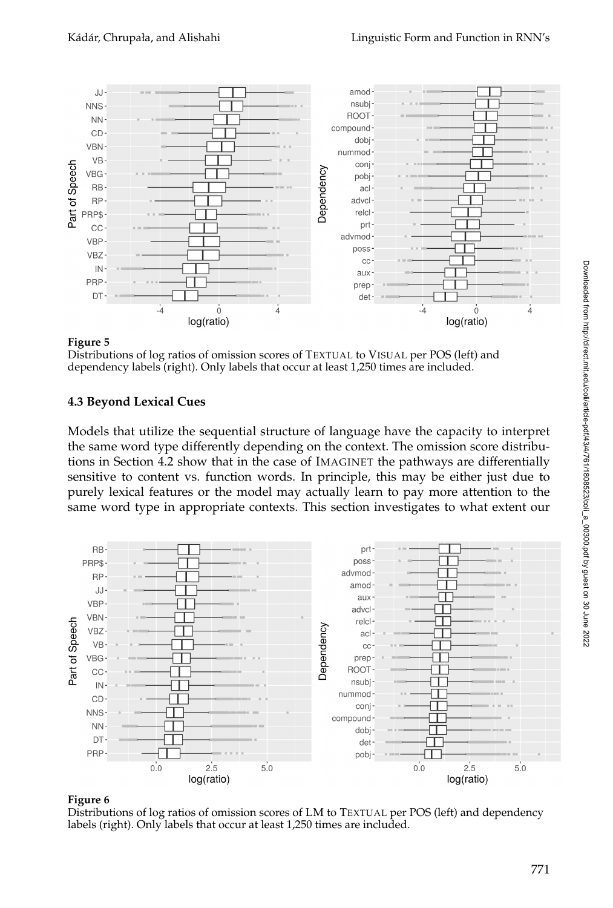

Distributions of log ratios of omission scores of TEXTUAL to VISUAL per POS (left) and dependency labels (right). Only labels that occur at least 1,250 times are included.

## **4.3 Beyond Lexical Cues**

Models that utilize the sequential structure of language have the capacity to interpret the same word type differently depending on the context. The omission score distributions in Section 4.2 show that in the case of IMAGINET the pathways are differentially sensitive to content vs. function words. In principle, this may be either just due to purely lexical features or the model may actually learn to pay more attention to the same word type in appropriate contexts. This section investigates to what extent our



#### **Figure 6**

Distributions of log ratios of omission scores of LM to TEXTUAL per POS (left) and dependency labels (right). Only labels that occur at least 1,250 times are included.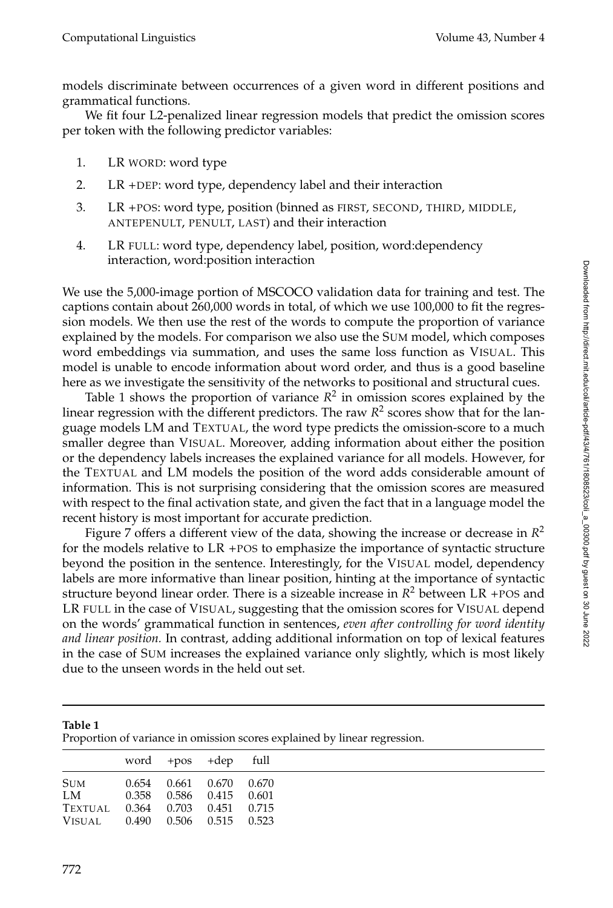models discriminate between occurrences of a given word in different positions and grammatical functions.

We fit four L2-penalized linear regression models that predict the omission scores per token with the following predictor variables:

- 1. LR WORD: word type
- 2. LR +DEP: word type, dependency label and their interaction
- 3. LR +POS: word type, position (binned as FIRST, SECOND, THIRD, MIDDLE, ANTEPENULT, PENULT, LAST) and their interaction
- 4. LR FULL: word type, dependency label, position, word:dependency interaction, word:position interaction

We use the 5,000-image portion of MSCOCO validation data for training and test. The captions contain about 260,000 words in total, of which we use 100,000 to fit the regression models. We then use the rest of the words to compute the proportion of variance explained by the models. For comparison we also use the SUM model, which composes word embeddings via summation, and uses the same loss function as VISUAL. This model is unable to encode information about word order, and thus is a good baseline here as we investigate the sensitivity of the networks to positional and structural cues.

Table 1 shows the proportion of variance  $R^2$  in omission scores explained by the linear regression with the different predictors. The raw  $R^2$  scores show that for the language models LM and TEXTUAL, the word type predicts the omission-score to a much smaller degree than VISUAL. Moreover, adding information about either the position or the dependency labels increases the explained variance for all models. However, for the TEXTUAL and LM models the position of the word adds considerable amount of information. This is not surprising considering that the omission scores are measured with respect to the final activation state, and given the fact that in a language model the recent history is most important for accurate prediction.

Figure 7 offers a different view of the data, showing the increase or decrease in *R* 2 for the models relative to LR +POS to emphasize the importance of syntactic structure beyond the position in the sentence. Interestingly, for the VISUAL model, dependency labels are more informative than linear position, hinting at the importance of syntactic structure beyond linear order. There is a sizeable increase in *R* <sup>2</sup> between LR +POS and LR FULL in the case of VISUAL, suggesting that the omission scores for VISUAL depend on the words' grammatical function in sentences, *even after controlling for word identity and linear position.* In contrast, adding additional information on top of lexical features in the case of SUM increases the explained variance only slightly, which is most likely due to the unseen words in the held out set.

| Table 1<br>Proportion of variance in omission scores explained by linear regression. |       |                  |       |       |  |  |  |  |
|--------------------------------------------------------------------------------------|-------|------------------|-------|-------|--|--|--|--|
|                                                                                      |       | word $+pos$ +dep |       | full  |  |  |  |  |
| Sum                                                                                  | 0.654 | 0.661            | 0.670 | 0.670 |  |  |  |  |
| LM                                                                                   | 0.358 | 0.586            | 0.415 | 0.601 |  |  |  |  |
| Textual                                                                              | 0.364 | 0.703            | 0.451 | 0.715 |  |  |  |  |
| Visual.                                                                              | 0.490 | 0.506            | 0.515 | 0.523 |  |  |  |  |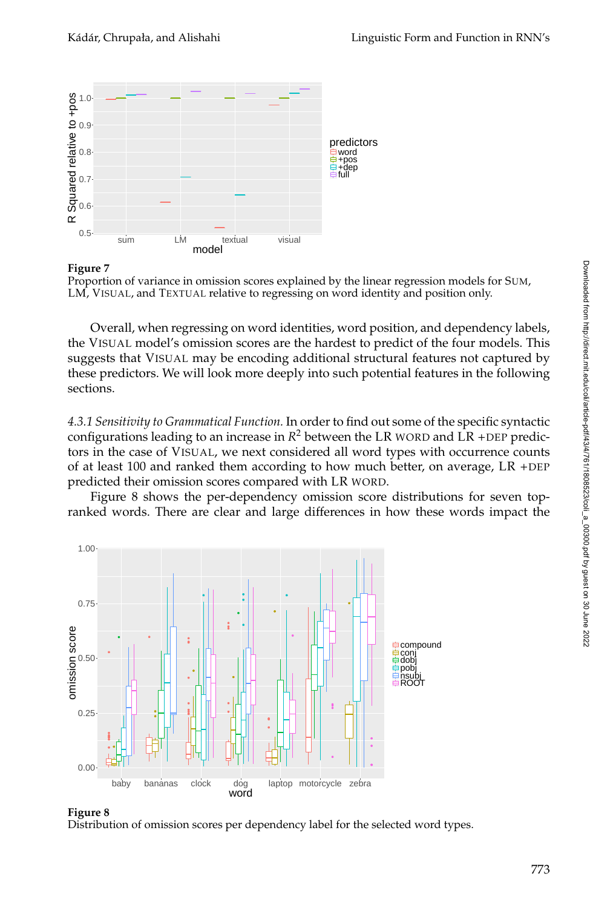



Overall, when regressing on word identities, word position, and dependency labels, the VISUAL model's omission scores are the hardest to predict of the four models. This suggests that VISUAL may be encoding additional structural features not captured by these predictors. We will look more deeply into such potential features in the following sections.

*4.3.1 Sensitivity to Grammatical Function.* In order to find out some of the specific syntactic configurations leading to an increase in  $R^2$  between the LR WORD and LR +DEP predictors in the case of VISUAL, we next considered all word types with occurrence counts of at least 100 and ranked them according to how much better, on average,  $LR + DEP$ predicted their omission scores compared with LR WORD.

Figure 8 shows the per-dependency omission score distributions for seven topranked words. There are clear and large differences in how these words impact the





Distribution of omission scores per dependency label for the selected word types.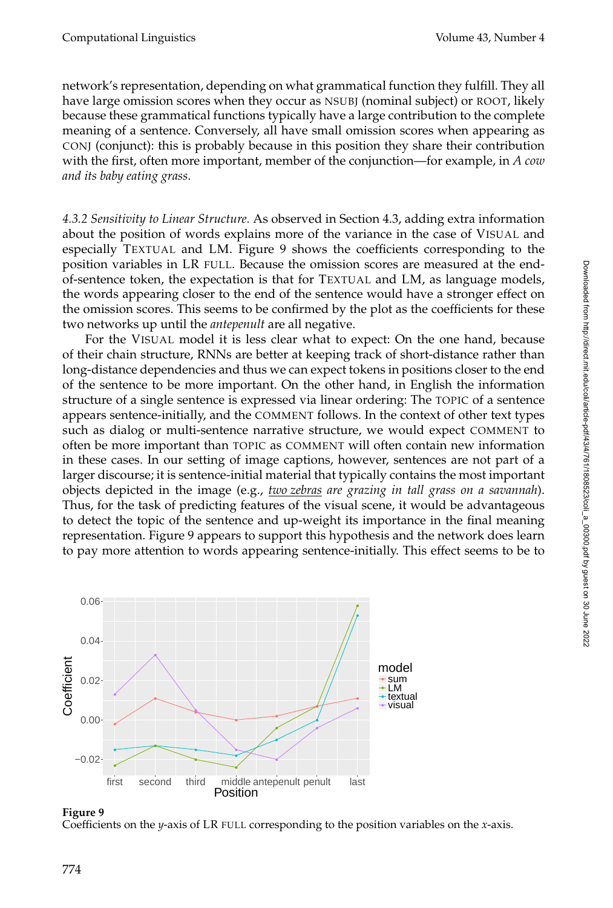network's representation, depending on what grammatical function they fulfill. They all have large omission scores when they occur as NSUBJ (nominal subject) or ROOT, likely because these grammatical functions typically have a large contribution to the complete meaning of a sentence. Conversely, all have small omission scores when appearing as CONJ (conjunct): this is probably because in this position they share their contribution with the first, often more important, member of the conjunction—for example, in *A cow and its baby eating grass*.

*4.3.2 Sensitivity to Linear Structure.* As observed in Section 4.3, adding extra information about the position of words explains more of the variance in the case of VISUAL and especially TEXTUAL and LM. Figure 9 shows the coefficients corresponding to the position variables in LR FULL. Because the omission scores are measured at the endof-sentence token, the expectation is that for TEXTUAL and LM, as language models, the words appearing closer to the end of the sentence would have a stronger effect on the omission scores. This seems to be confirmed by the plot as the coefficients for these two networks up until the *antepenult* are all negative.

For the VISUAL model it is less clear what to expect: On the one hand, because of their chain structure, RNNs are better at keeping track of short-distance rather than long-distance dependencies and thus we can expect tokens in positions closer to the end of the sentence to be more important. On the other hand, in English the information structure of a single sentence is expressed via linear ordering: The TOPIC of a sentence appears sentence-initially, and the COMMENT follows. In the context of other text types such as dialog or multi-sentence narrative structure, we would expect COMMENT to often be more important than TOPIC as COMMENT will often contain new information in these cases. In our setting of image captions, however, sentences are not part of a larger discourse; it is sentence-initial material that typically contains the most important objects depicted in the image (e.g., *two zebras are grazing in tall grass on a savannah*). Thus, for the task of predicting features of the visual scene, it would be advantageous to detect the topic of the sentence and up-weight its importance in the final meaning representation. Figure 9 appears to support this hypothesis and the network does learn to pay more attention to words appearing sentence-initially. This effect seems to be to



## **Figure 9**

Coefficients on the *y*-axis of LR FULL corresponding to the position variables on the *x*-axis.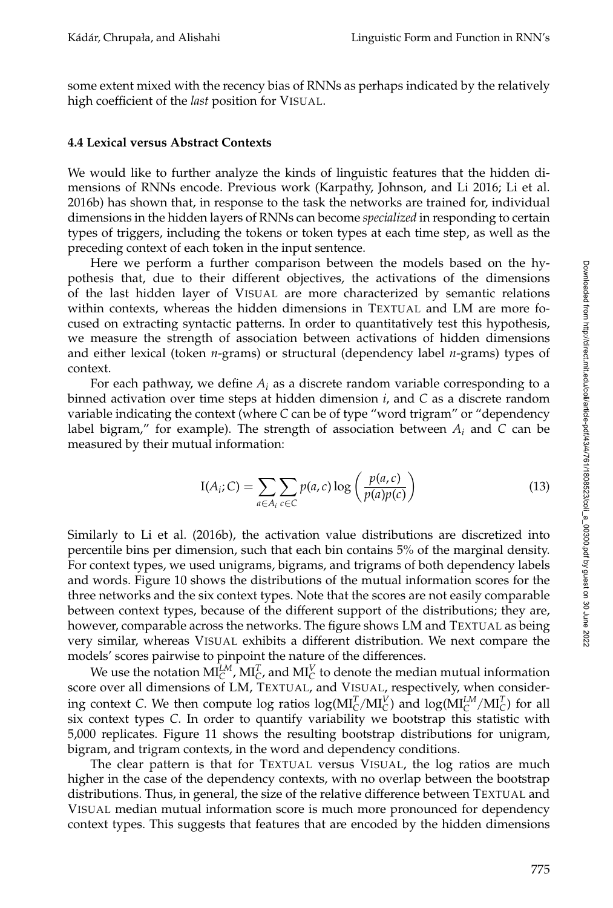some extent mixed with the recency bias of RNNs as perhaps indicated by the relatively high coefficient of the *last* position for VISUAL.

#### **4.4 Lexical versus Abstract Contexts**

We would like to further analyze the kinds of linguistic features that the hidden dimensions of RNNs encode. Previous work (Karpathy, Johnson, and Li 2016; Li et al. 2016b) has shown that, in response to the task the networks are trained for, individual dimensions in the hidden layers of RNNs can become *specialized* in responding to certain types of triggers, including the tokens or token types at each time step, as well as the preceding context of each token in the input sentence.

Here we perform a further comparison between the models based on the hypothesis that, due to their different objectives, the activations of the dimensions of the last hidden layer of VISUAL are more characterized by semantic relations within contexts, whereas the hidden dimensions in TEXTUAL and LM are more focused on extracting syntactic patterns. In order to quantitatively test this hypothesis, we measure the strength of association between activations of hidden dimensions and either lexical (token *n*-grams) or structural (dependency label *n*-grams) types of context.

For each pathway, we define  $A_i$  as a discrete random variable corresponding to a binned activation over time steps at hidden dimension *i*, and *C* as a discrete random variable indicating the context (where *C* can be of type "word trigram" or "dependency label bigram," for example). The strength of association between  $A_i$  and  $C$  can be measured by their mutual information:

$$
I(A_i; C) = \sum_{a \in A_i} \sum_{c \in C} p(a, c) \log \left( \frac{p(a, c)}{p(a)p(c)} \right)
$$
(13)

Similarly to Li et al. (2016b), the activation value distributions are discretized into percentile bins per dimension, such that each bin contains 5% of the marginal density. For context types, we used unigrams, bigrams, and trigrams of both dependency labels and words. Figure 10 shows the distributions of the mutual information scores for the three networks and the six context types. Note that the scores are not easily comparable between context types, because of the different support of the distributions; they are, however, comparable across the networks. The figure shows LM and TEXTUAL as being very similar, whereas VISUAL exhibits a different distribution. We next compare the models' scores pairwise to pinpoint the nature of the differences.

We use the notation  $\mathrm{MI}_{\mathbb{C}}^{LM}$ ,  $\mathrm{MI}_{\mathbb{C}}^{T}$ , and  $\mathrm{MI}_{\mathbb{C}}^{V}$  to denote the median mutual information score over all dimensions of LM, TEXTUAL, and VISUAL, respectively, when considering context *C*. We then compute log ratios  $log(MI_C^T/MI_C^V)$  and  $log(MI_C^{LM}/MI_C^T)$  for all six context types *C*. In order to quantify variability we bootstrap this statistic with 5,000 replicates. Figure 11 shows the resulting bootstrap distributions for unigram, bigram, and trigram contexts, in the word and dependency conditions.

The clear pattern is that for TEXTUAL versus VISUAL, the log ratios are much higher in the case of the dependency contexts, with no overlap between the bootstrap distributions. Thus, in general, the size of the relative difference between TEXTUAL and VISUAL median mutual information score is much more pronounced for dependency context types. This suggests that features that are encoded by the hidden dimensions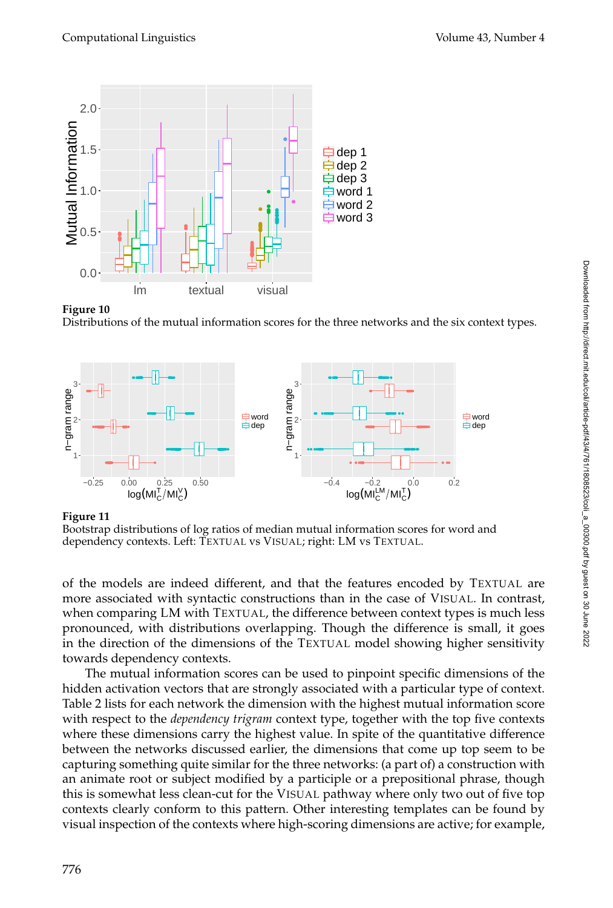

**Figure 10**

Distributions of the mutual information scores for the three networks and the six context types.



Bootstrap distributions of log ratios of median mutual information scores for word and dependency contexts. Left: TEXTUAL vs VISUAL; right: LM vs TEXTUAL.

of the models are indeed different, and that the features encoded by TEXTUAL are more associated with syntactic constructions than in the case of VISUAL. In contrast, when comparing LM with TEXTUAL, the difference between context types is much less pronounced, with distributions overlapping. Though the difference is small, it goes in the direction of the dimensions of the TEXTUAL model showing higher sensitivity towards dependency contexts.

The mutual information scores can be used to pinpoint specific dimensions of the hidden activation vectors that are strongly associated with a particular type of context. Table 2 lists for each network the dimension with the highest mutual information score with respect to the *dependency trigram* context type, together with the top five contexts where these dimensions carry the highest value. In spite of the quantitative difference between the networks discussed earlier, the dimensions that come up top seem to be capturing something quite similar for the three networks: (a part of) a construction with an animate root or subject modified by a participle or a prepositional phrase, though this is somewhat less clean-cut for the VISUAL pathway where only two out of five top contexts clearly conform to this pattern. Other interesting templates can be found by visual inspection of the contexts where high-scoring dimensions are active; for example,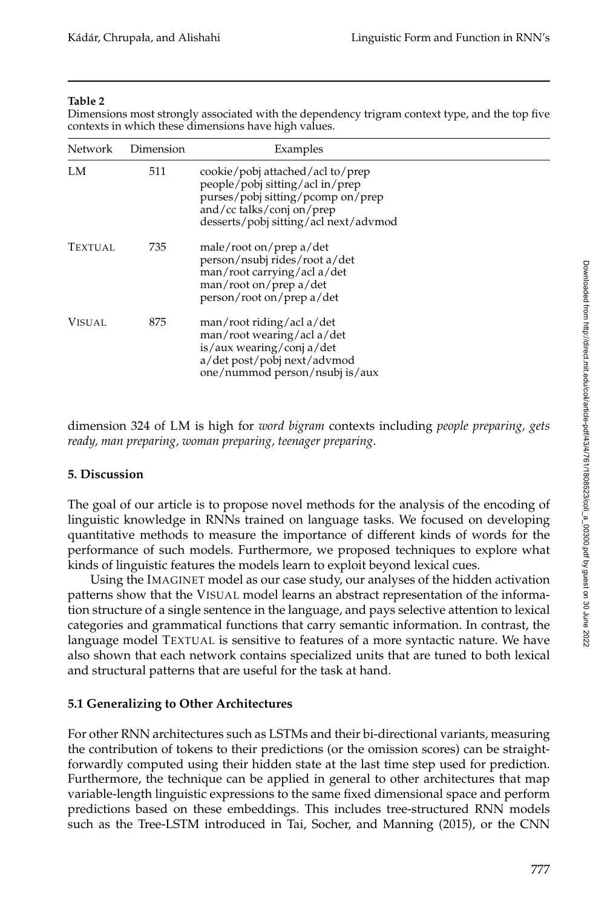#### **Table 2**

Dimensions most strongly associated with the dependency trigram context type, and the top five contexts in which these dimensions have high values.

| <b>Network</b> | Dimension | Examples                                                                                                                                                                       |
|----------------|-----------|--------------------------------------------------------------------------------------------------------------------------------------------------------------------------------|
| LM             | 511       | cookie/pobj attached/acl to/prep<br>people/pobj sitting/acl in/prep<br>purses/pobj sitting/pcomp on/prep<br>and/cc talks/conj on/prep<br>desserts/pobj sitting/acl next/advmod |
| <b>TEXTUAL</b> | 735       | male/root on/prep a/det<br>person/nsubj rides/root a/det<br>man/root carrying/acl a/det<br>man/root on/prep a/det<br>person/root on/prep a/det                                 |
| Visual         | 875       | man/root riding/acl a/det<br>man/root wearing/acl a/det<br>is/aux wearing/conj a/det<br>a/det post/pobj next/advmod<br>one/nummod person/nsubj is/aux                          |

dimension 324 of LM is high for *word bigram* contexts including *people preparing, gets ready, man preparing, woman preparing, teenager preparing*.

## **5. Discussion**

The goal of our article is to propose novel methods for the analysis of the encoding of linguistic knowledge in RNNs trained on language tasks. We focused on developing quantitative methods to measure the importance of different kinds of words for the performance of such models. Furthermore, we proposed techniques to explore what kinds of linguistic features the models learn to exploit beyond lexical cues.

Using the IMAGINET model as our case study, our analyses of the hidden activation patterns show that the VISUAL model learns an abstract representation of the information structure of a single sentence in the language, and pays selective attention to lexical categories and grammatical functions that carry semantic information. In contrast, the language model TEXTUAL is sensitive to features of a more syntactic nature. We have also shown that each network contains specialized units that are tuned to both lexical and structural patterns that are useful for the task at hand.

## **5.1 Generalizing to Other Architectures**

For other RNN architectures such as LSTMs and their bi-directional variants, measuring the contribution of tokens to their predictions (or the omission scores) can be straightforwardly computed using their hidden state at the last time step used for prediction. Furthermore, the technique can be applied in general to other architectures that map variable-length linguistic expressions to the same fixed dimensional space and perform predictions based on these embeddings. This includes tree-structured RNN models such as the Tree-LSTM introduced in Tai, Socher, and Manning (2015), or the CNN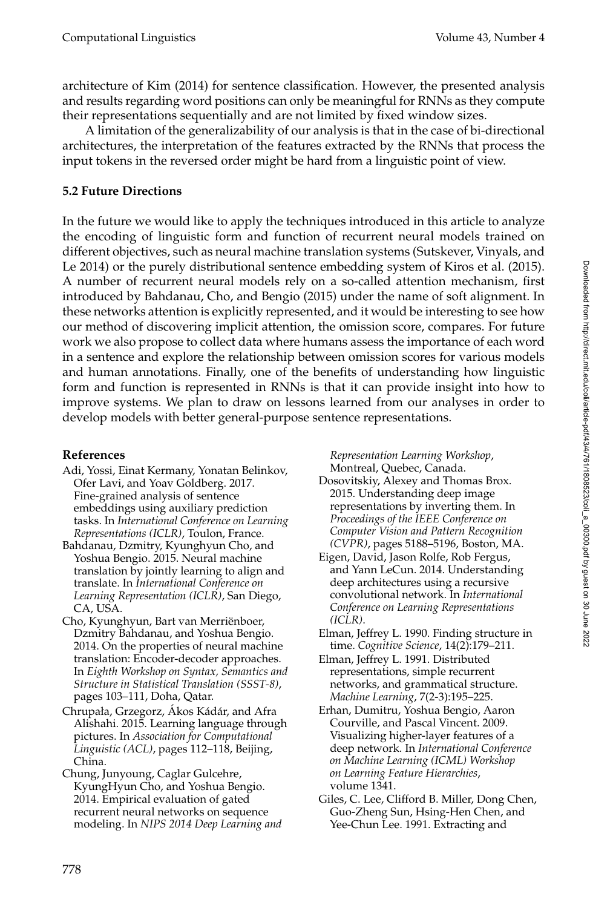architecture of Kim (2014) for sentence classification. However, the presented analysis and results regarding word positions can only be meaningful for RNNs as they compute their representations sequentially and are not limited by fixed window sizes.

A limitation of the generalizability of our analysis is that in the case of bi-directional architectures, the interpretation of the features extracted by the RNNs that process the input tokens in the reversed order might be hard from a linguistic point of view.

# **5.2 Future Directions**

In the future we would like to apply the techniques introduced in this article to analyze the encoding of linguistic form and function of recurrent neural models trained on different objectives, such as neural machine translation systems (Sutskever, Vinyals, and Le 2014) or the purely distributional sentence embedding system of Kiros et al. (2015). A number of recurrent neural models rely on a so-called attention mechanism, first introduced by Bahdanau, Cho, and Bengio (2015) under the name of soft alignment. In these networks attention is explicitly represented, and it would be interesting to see how our method of discovering implicit attention, the omission score, compares. For future work we also propose to collect data where humans assess the importance of each word in a sentence and explore the relationship between omission scores for various models and human annotations. Finally, one of the benefits of understanding how linguistic form and function is represented in RNNs is that it can provide insight into how to improve systems. We plan to draw on lessons learned from our analyses in order to develop models with better general-purpose sentence representations.

## **References**

- Adi, Yossi, Einat Kermany, Yonatan Belinkov, Ofer Lavi, and Yoav Goldberg. 2017. Fine-grained analysis of sentence embeddings using auxiliary prediction tasks. In *International Conference on Learning Representations (ICLR)*, Toulon, France.
- Bahdanau, Dzmitry, Kyunghyun Cho, and Yoshua Bengio. 2015. Neural machine translation by jointly learning to align and translate. In *International Conference on Learning Representation (ICLR)*, San Diego, CA, USA.
- Cho, Kyunghyun, Bart van Merrienboer, ¨ Dzmitry Bahdanau, and Yoshua Bengio. 2014. On the properties of neural machine translation: Encoder-decoder approaches. In *Eighth Workshop on Syntax, Semantics and Structure in Statistical Translation (SSST-8)*, pages 103–111, Doha, Qatar.
- Chrupała, Grzegorz, Ákos Kádár, and Afra Alishahi. 2015. Learning language through pictures. In *Association for Computational Linguistic (ACL)*, pages 112–118, Beijing, China.
- Chung, Junyoung, Caglar Gulcehre, KyungHyun Cho, and Yoshua Bengio. 2014. Empirical evaluation of gated recurrent neural networks on sequence modeling. In *NIPS 2014 Deep Learning and*

*Representation Learning Workshop*, Montreal, Quebec, Canada.

- Dosovitskiy, Alexey and Thomas Brox. 2015. Understanding deep image representations by inverting them. In *Proceedings of the IEEE Conference on Computer Vision and Pattern Recognition (CVPR)*, pages 5188–5196, Boston, MA.
- Eigen, David, Jason Rolfe, Rob Fergus, and Yann LeCun. 2014. Understanding deep architectures using a recursive convolutional network. In *International Conference on Learning Representations (ICLR)*.
- Elman, Jeffrey L. 1990. Finding structure in time. *Cognitive Science*, 14(2):179–211.
- Elman, Jeffrey L. 1991. Distributed representations, simple recurrent networks, and grammatical structure. *Machine Learning*, 7(2-3):195–225.
- Erhan, Dumitru, Yoshua Bengio, Aaron Courville, and Pascal Vincent. 2009. Visualizing higher-layer features of a deep network. In *International Conference on Machine Learning (ICML) Workshop on Learning Feature Hierarchies*, volume 1341.
- Giles, C. Lee, Clifford B. Miller, Dong Chen, Guo-Zheng Sun, Hsing-Hen Chen, and Yee-Chun Lee. 1991. Extracting and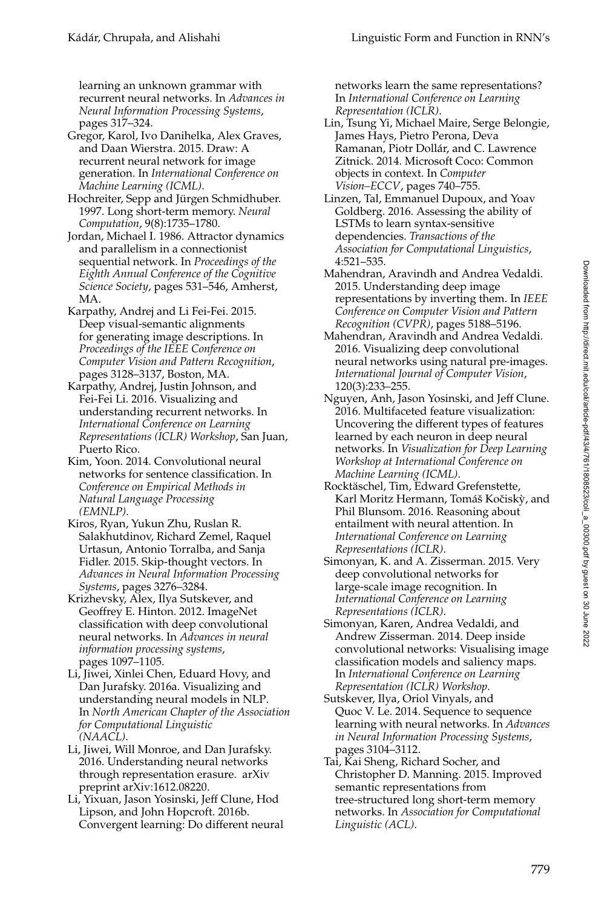learning an unknown grammar with recurrent neural networks. In *Advances in Neural Information Processing Systems*, pages 317–324.

Gregor, Karol, Ivo Danihelka, Alex Graves, and Daan Wierstra. 2015. Draw: A recurrent neural network for image generation. In *International Conference on Machine Learning (ICML)*.

Hochreiter, Sepp and Jürgen Schmidhuber. 1997. Long short-term memory. *Neural Computation*, 9(8):1735–1780.

Jordan, Michael I. 1986. Attractor dynamics and parallelism in a connectionist sequential network. In *Proceedings of the Eighth Annual Conference of the Cognitive Science Society*, pages 531–546, Amherst, MA.

- Karpathy, Andrej and Li Fei-Fei. 2015. Deep visual-semantic alignments for generating image descriptions. In *Proceedings of the IEEE Conference on Computer Vision and Pattern Recognition*, pages 3128–3137, Boston, MA.
- Karpathy, Andrej, Justin Johnson, and Fei-Fei Li. 2016. Visualizing and understanding recurrent networks. In *International Conference on Learning Representations (ICLR) Workshop*, San Juan, Puerto Rico.

Kim, Yoon. 2014. Convolutional neural networks for sentence classification. In *Conference on Empirical Methods in Natural Language Processing (EMNLP)*.

Kiros, Ryan, Yukun Zhu, Ruslan R. Salakhutdinov, Richard Zemel, Raquel Urtasun, Antonio Torralba, and Sanja Fidler. 2015. Skip-thought vectors. In *Advances in Neural Information Processing Systems*, pages 3276–3284.

Krizhevsky, Alex, Ilya Sutskever, and Geoffrey E. Hinton. 2012. ImageNet classification with deep convolutional neural networks. In *Advances in neural information processing systems*, pages 1097–1105.

Li, Jiwei, Xinlei Chen, Eduard Hovy, and Dan Jurafsky. 2016a. Visualizing and understanding neural models in NLP. In *North American Chapter of the Association for Computational Linguistic (NAACL)*.

Li, Jiwei, Will Monroe, and Dan Jurafsky. 2016. Understanding neural networks through representation erasure. arXiv preprint arXiv:1612.08220.

Li, Yixuan, Jason Yosinski, Jeff Clune, Hod Lipson, and John Hopcroft. 2016b. Convergent learning: Do different neural networks learn the same representations? In *International Conference on Learning Representation (ICLR)*.

- Lin, Tsung Yi, Michael Maire, Serge Belongie, James Hays, Pietro Perona, Deva Ramanan, Piotr Dollár, and C. Lawrence Zitnick. 2014. Microsoft Coco: Common objects in context. In *Computer Vision–ECCV*, pages 740–755.
- Linzen, Tal, Emmanuel Dupoux, and Yoav Goldberg. 2016. Assessing the ability of LSTMs to learn syntax-sensitive dependencies. *Transactions of the Association for Computational Linguistics*, 4:521–535.
- Mahendran, Aravindh and Andrea Vedaldi. 2015. Understanding deep image representations by inverting them. In *IEEE Conference on Computer Vision and Pattern Recognition (CVPR)*, pages 5188–5196.
- Mahendran, Aravindh and Andrea Vedaldi. 2016. Visualizing deep convolutional neural networks using natural pre-images. *International Journal of Computer Vision*, 120(3):233–255.
- Nguyen, Anh, Jason Yosinski, and Jeff Clune. 2016. Multifaceted feature visualization: Uncovering the different types of features learned by each neuron in deep neural networks. In *Visualization for Deep Learning Workshop at International Conference on Machine Learning (ICML)*.
- Rocktaschel, Tim, Edward Grefenstette, ¨ Karl Moritz Hermann, Tomáš Kočiskỳ, and Phil Blunsom. 2016. Reasoning about entailment with neural attention. In *International Conference on Learning Representations (ICLR)*.
- Simonyan, K. and A. Zisserman. 2015. Very deep convolutional networks for large-scale image recognition. In *International Conference on Learning Representations (ICLR)*.
- Simonyan, Karen, Andrea Vedaldi, and Andrew Zisserman. 2014. Deep inside convolutional networks: Visualising image classification models and saliency maps. In *International Conference on Learning Representation (ICLR) Workshop*.
- Sutskever, Ilya, Oriol Vinyals, and Quoc V. Le. 2014. Sequence to sequence learning with neural networks. In *Advances in Neural Information Processing Systems*, pages 3104–3112.
- Tai, Kai Sheng, Richard Socher, and Christopher D. Manning. 2015. Improved semantic representations from tree-structured long short-term memory networks. In *Association for Computational Linguistic (ACL)*.